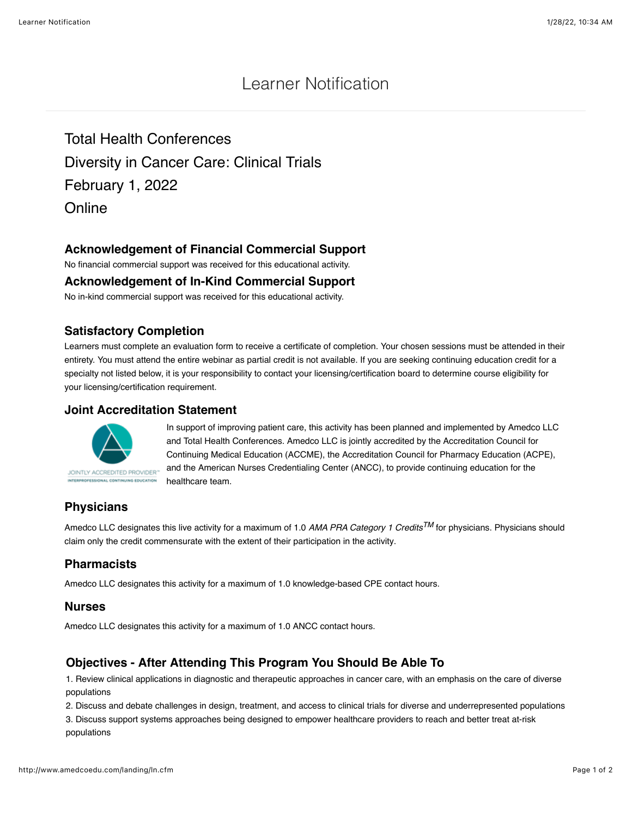# Learner Notification

Total Health Conferences Diversity in Cancer Care: Clinical Trials February 1, 2022 **Online** 

## **Acknowledgement of Financial Commercial Support**

No financial commercial support was received for this educational activity.

#### **Acknowledgement of In-Kind Commercial Support**

No in-kind commercial support was received for this educational activity.

## **Satisfactory Completion**

Learners must complete an evaluation form to receive a certificate of completion. Your chosen sessions must be attended in their entirety. You must attend the entire webinar as partial credit is not available. If you are seeking continuing education credit for a specialty not listed below, it is your responsibility to contact your licensing/certification board to determine course eligibility for your licensing/certification requirement.

#### **Joint Accreditation Statement**



In support of improving patient care, this activity has been planned and implemented by Amedco LLC and Total Health Conferences. Amedco LLC is jointly accredited by the Accreditation Council for Continuing Medical Education (ACCME), the Accreditation Council for Pharmacy Education (ACPE), and the American Nurses Credentialing Center (ANCC), to provide continuing education for the healthcare team.

# **Physicians**

Amedco LLC designates this live activity for a maximum of 1.0 *AMA PRA Category 1 CreditsTM* for physicians. Physicians should claim only the credit commensurate with the extent of their participation in the activity.

# **Pharmacists**

Amedco LLC designates this activity for a maximum of 1.0 knowledge-based CPE contact hours.

#### **Nurses**

Amedco LLC designates this activity for a maximum of 1.0 ANCC contact hours.

# **Objectives - After Attending This Program You Should Be Able To**

1. Review clinical applications in diagnostic and therapeutic approaches in cancer care, with an emphasis on the care of diverse populations

2. Discuss and debate challenges in design, treatment, and access to clinical trials for diverse and underrepresented populations

3. Discuss support systems approaches being designed to empower healthcare providers to reach and better treat at-risk populations